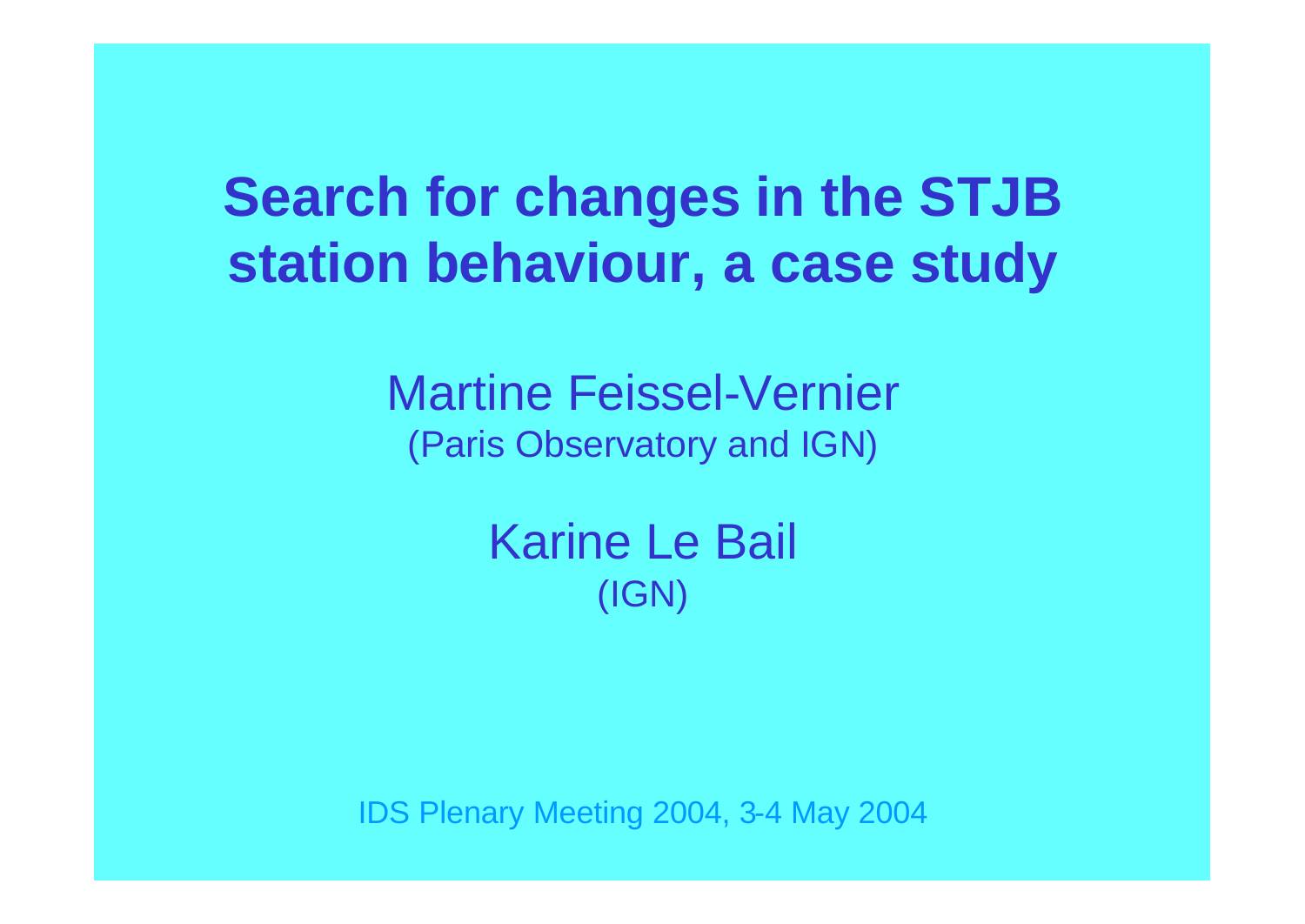# **Search for changes in the STJB station behaviour, a case study**

Martine Feissel-Vernier (Paris Observatory and IGN)

> Karine Le Bail (IGN)

IDS Plenary Meeting 2004, 3-4 May 2004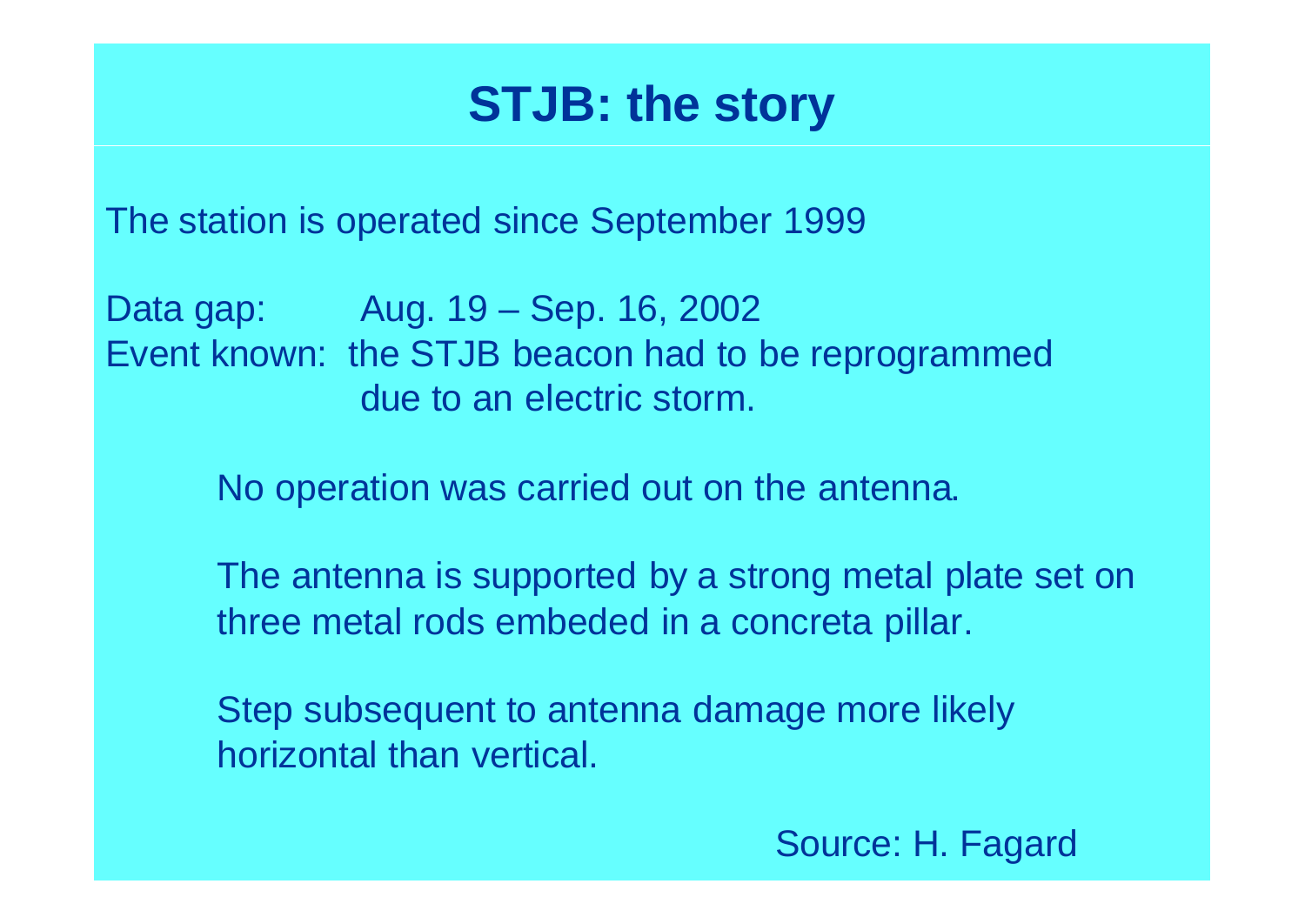## **STJB: the story**

The station is operated since September 1999

Data gap: Aug. 19 – Sep. 16, 2002 Event known: the STJB beacon had to be reprogrammed due to an electric storm.

No operation was carried out on the antenna.

The antenna is supported by a strong metal plate set on three metal rods embeded in a concreta pillar.

Step subsequent to antenna damage more likely horizontal than vertical.

Source: H. Fagard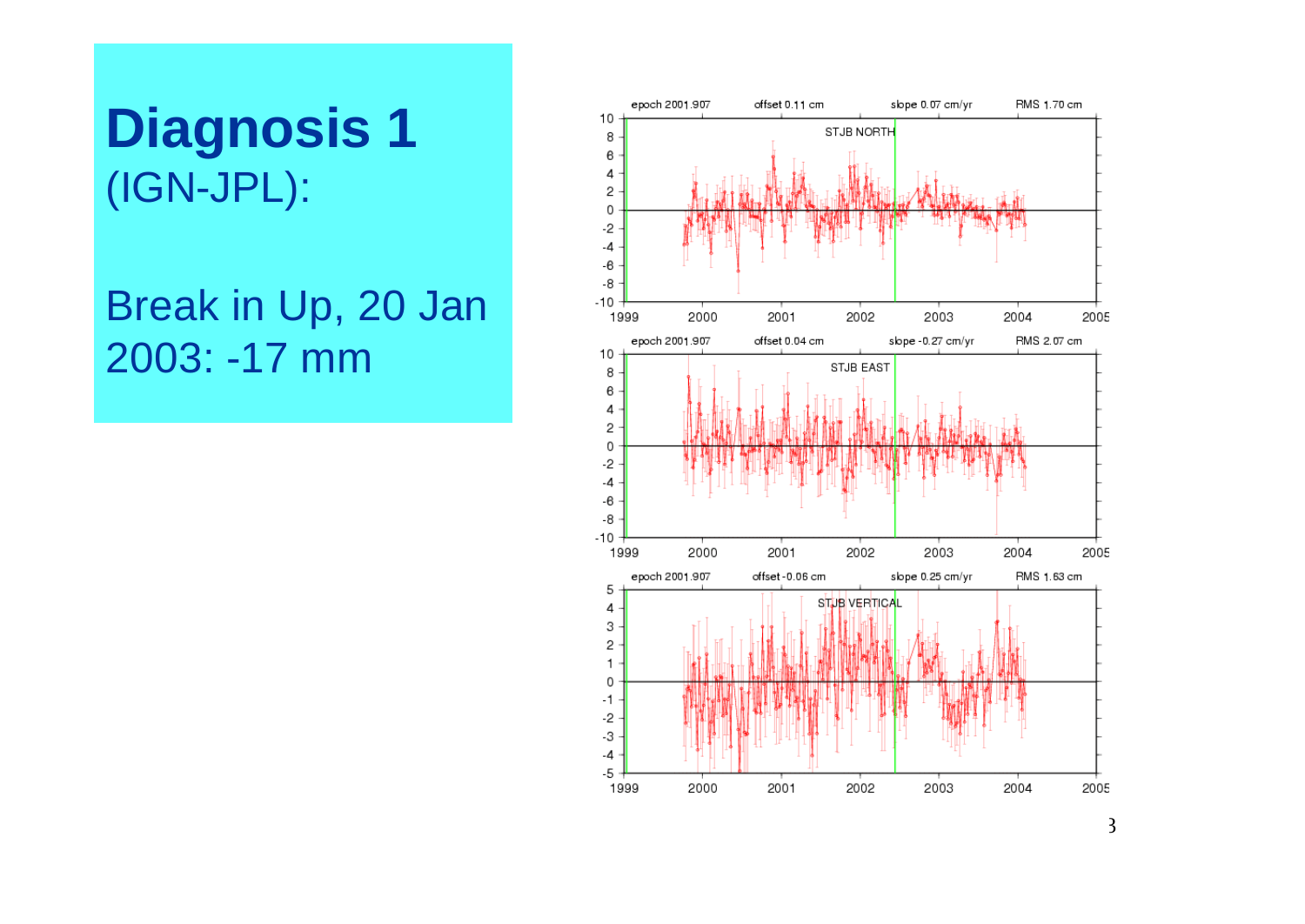## **Diagnosis 1** (IGN-JPL):

Break in Up, 20 Jan 2003: -17 mm

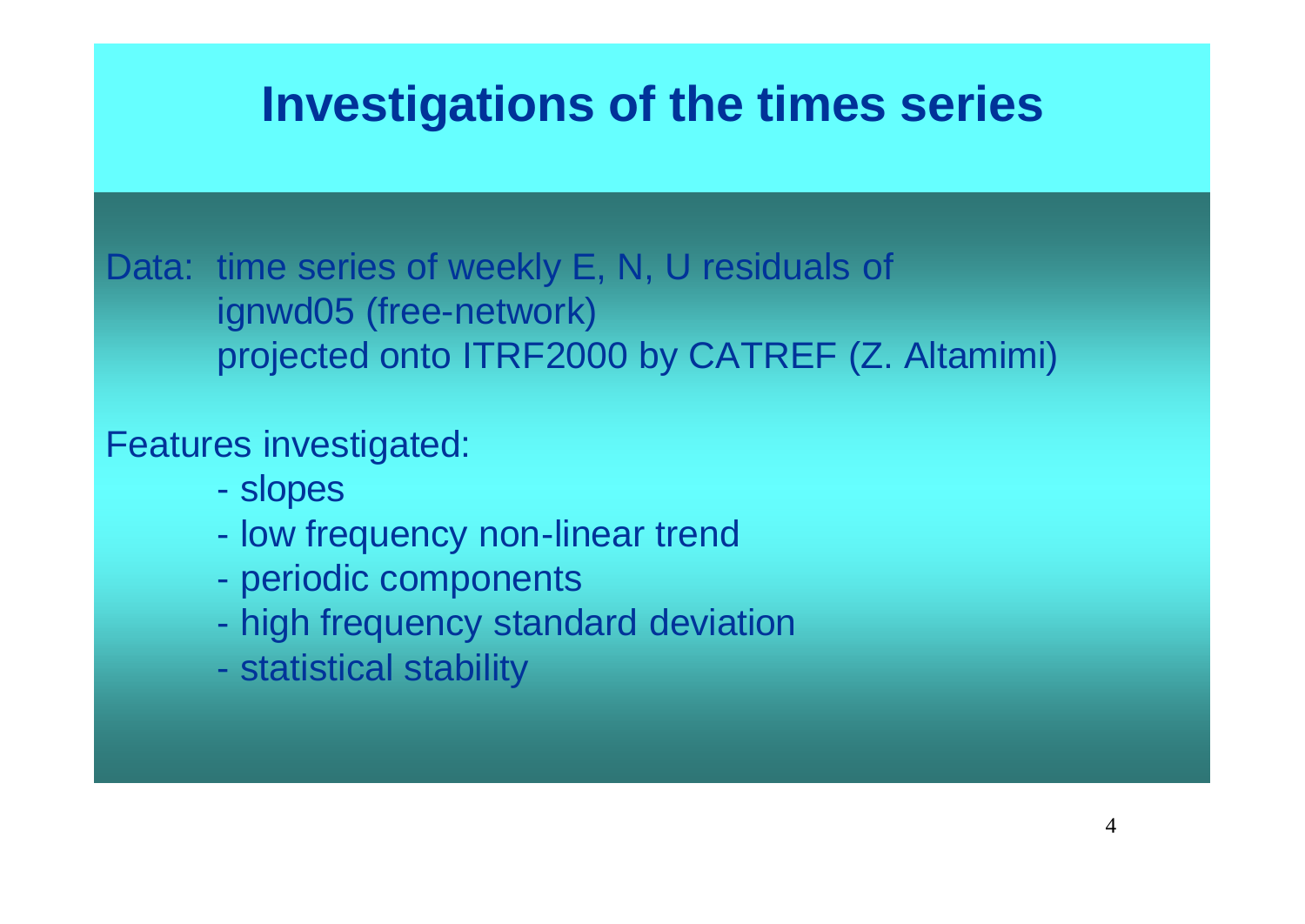## **Investigations of the times series**

Data: time series of weekly E, N, U residuals of ignwd05 (free-network) projected onto ITRF2000 by CATREF (Z. Altamimi)

#### Features investigated:

- slopes
- low frequency non-linear trend
- periodic components
- high frequency standard deviation
- statistical stability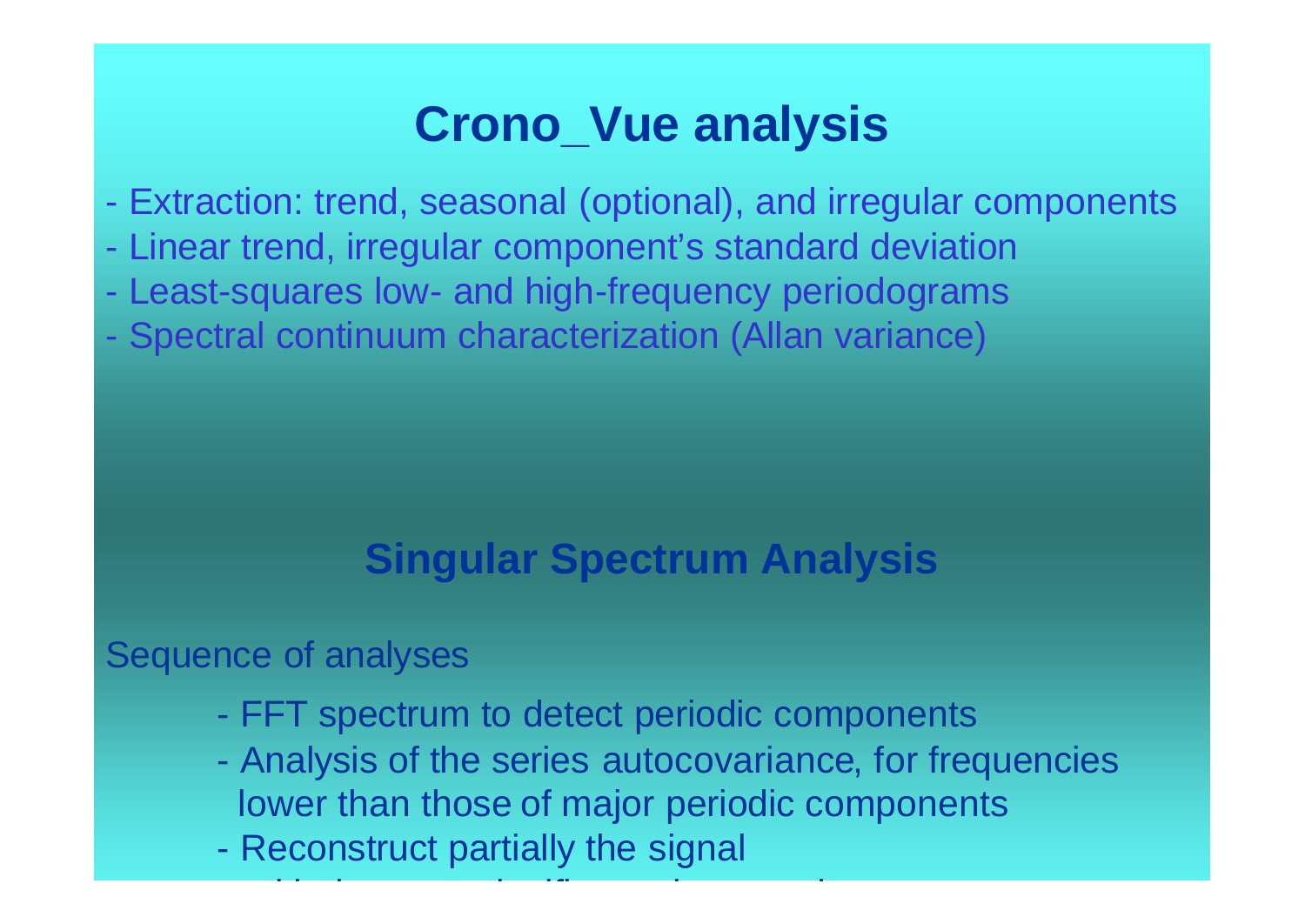## **Crono\_Vue analysis**

- Extraction: trend, seasonal (optional), and irregular components
- Linear trend, irregular component's standard deviation
- Least-squares low- and high-frequency periodograms
- Spectral continuum characterization (Allan variance)

### **Singular Spectrum Analysis**

Sequence of analyses

- FFT spectrum to detect periodic components

with the most significant eigen modes in the most significant eigen modes in the most significant eigen modes<br>The modes in the modes in the modes in the modes in the modes in the modes in the modes in the modes in the mo

- Analysis of the series autocovariance, for frequencies lower than those of major periodic components
- Reconstruct partially the signal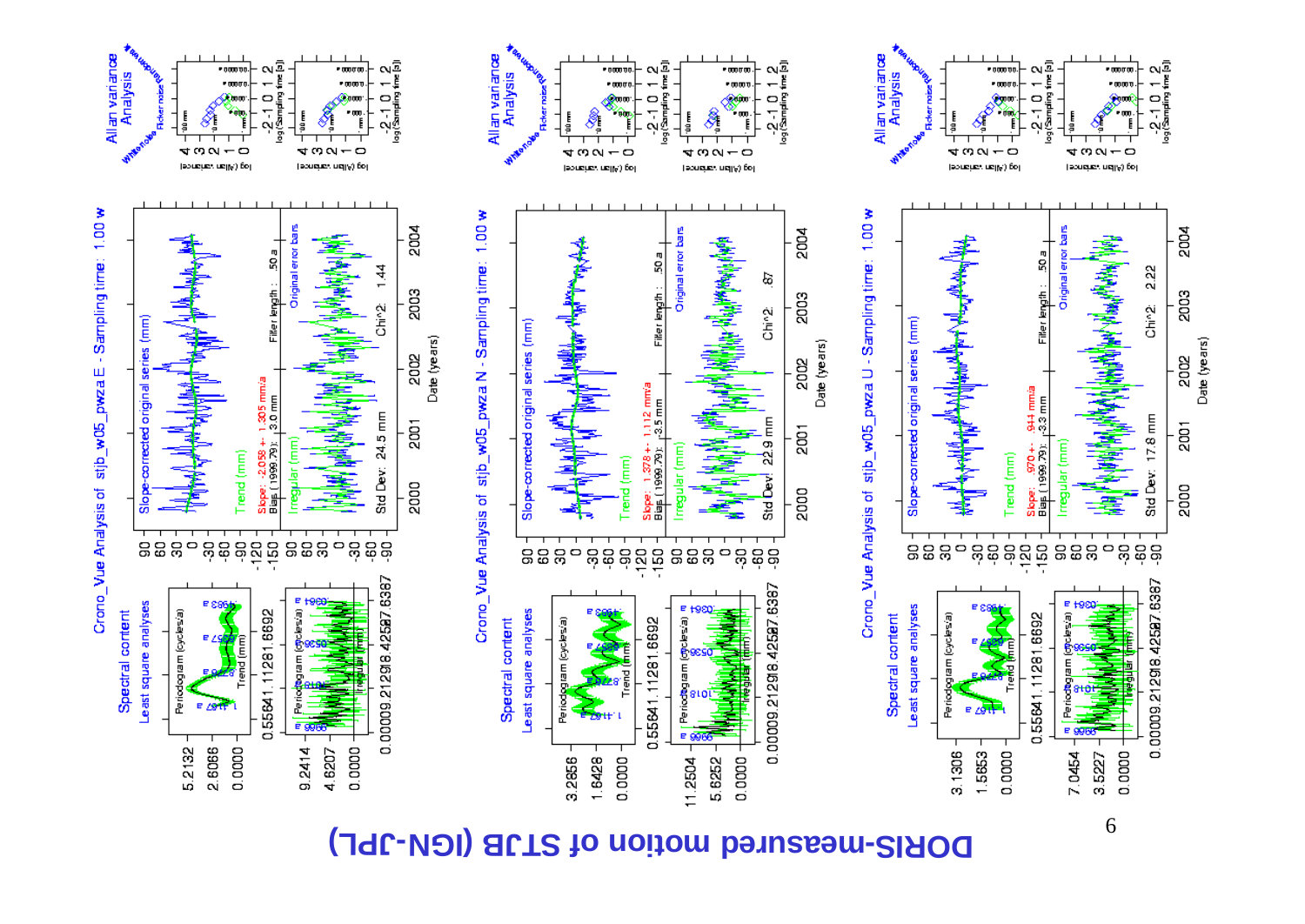#### DORIS-measured motion of STJB (IGN-JPL)





**Pomph** 

ωā

, mara



6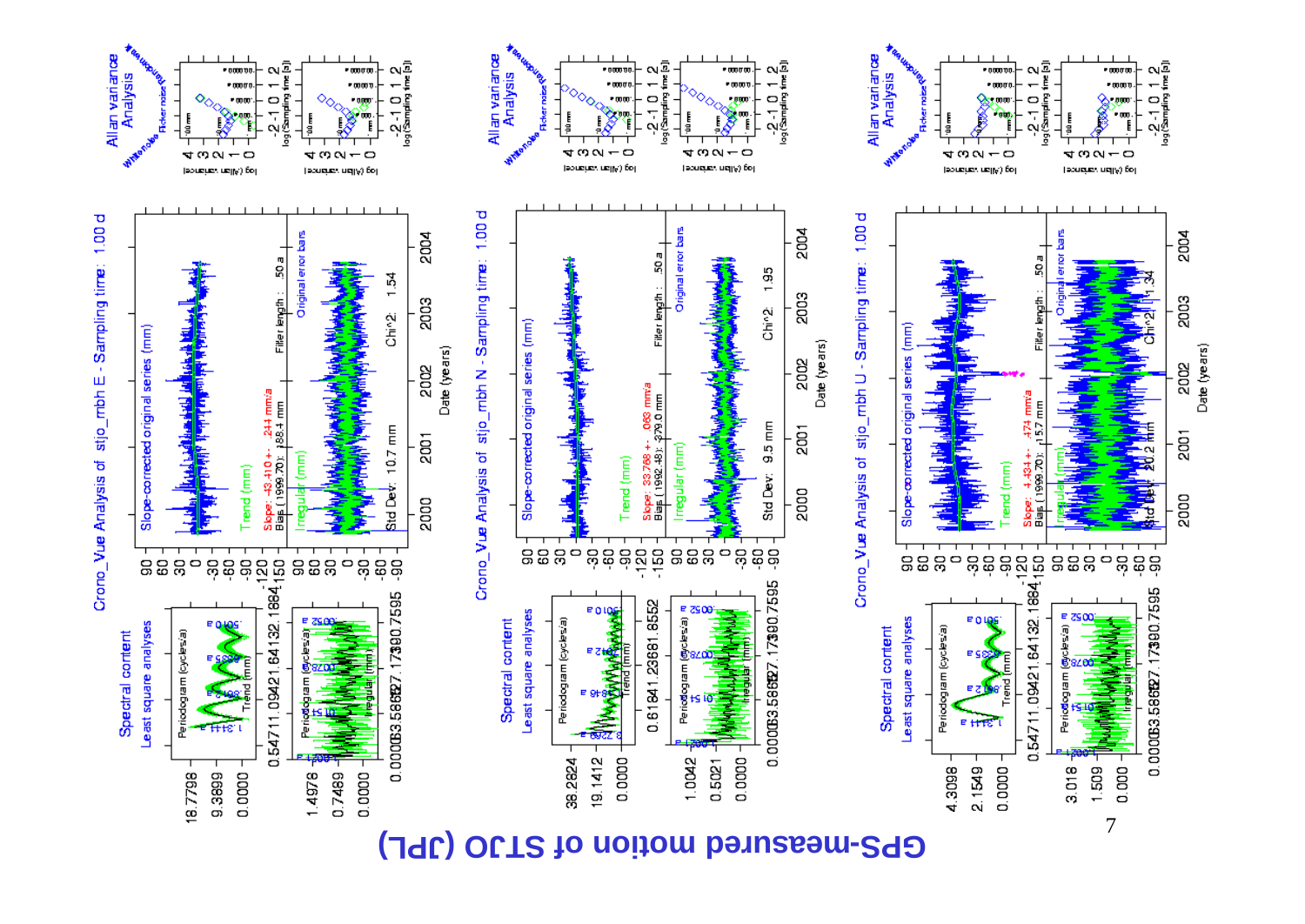#### GPS-measured motion of STJO (JPL)

ωą

o

 $1.95$ 

Chin2

 $9.5$ 

తీ

3g

0.000063.586627.17390.7595

2004

2003

2002

2001

2000

Date (years)



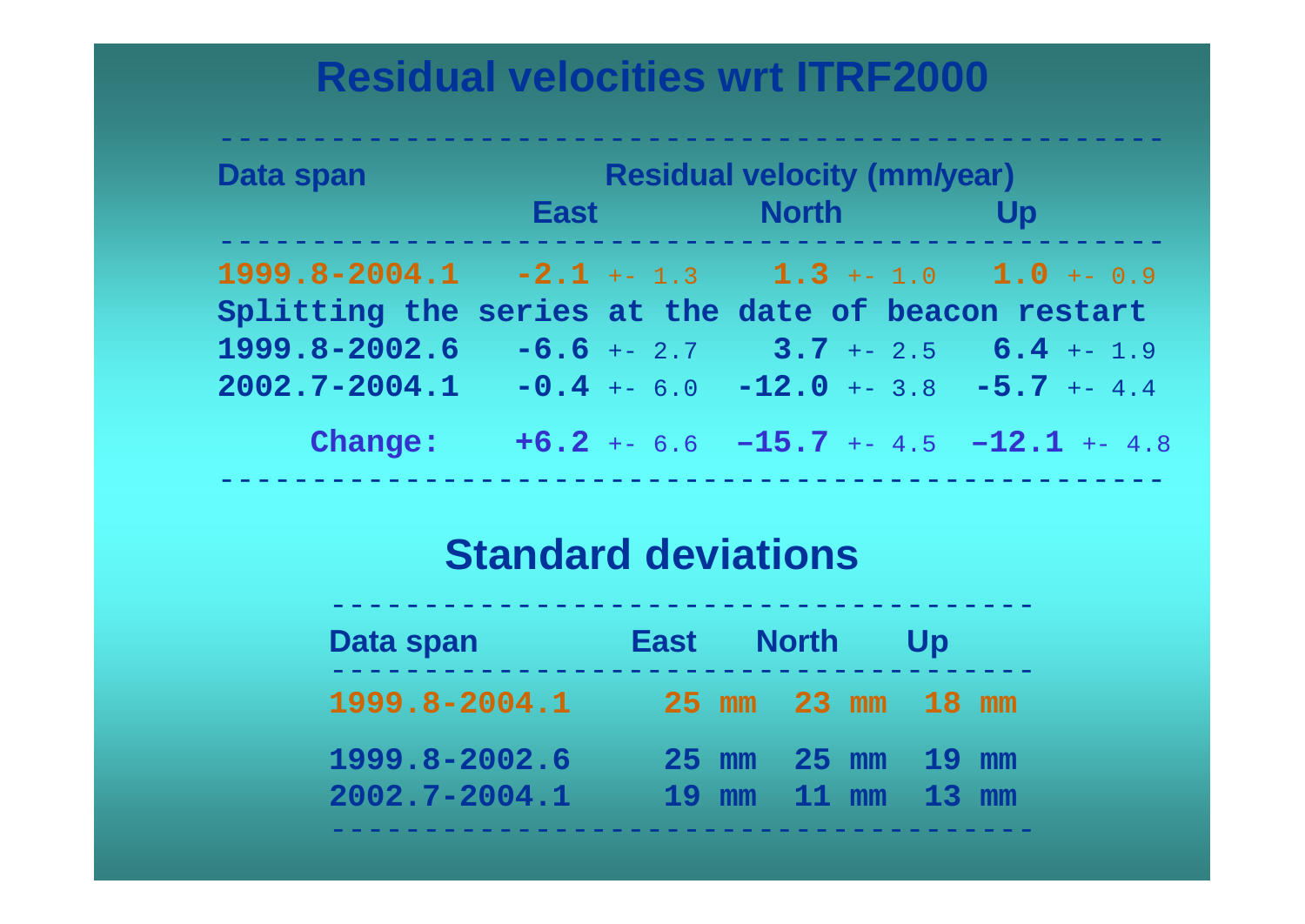### **Residual velocities wrt ITRF2000**

| <b>Data span</b>                                      | <b>Residual velocity (mm/year)</b> |                                          |    |  |  |
|-------------------------------------------------------|------------------------------------|------------------------------------------|----|--|--|
|                                                       |                                    | East North                               | Up |  |  |
| $1999.8-2004.1 -2.1 + -1.3$ $1.3 + -1.0$ $1.0 + -0.9$ |                                    |                                          |    |  |  |
| Splitting the series at the date of beacon restart    |                                    |                                          |    |  |  |
| 1999.8-2002.6                                         |                                    | $-6.6$ +- 2.7 3.7 +- 2.5 6.4 +- 1.9      |    |  |  |
| $2002.7 - 2004.1$                                     |                                    | $-0.4$ +- 6.0 $-12.0$ +- 3.8 -5.7 +- 4.4 |    |  |  |
| Change:                                               |                                    | $+6.2$ +- 6.6 -15.7 +- 4.5 -12.1 +- 4.8  |    |  |  |

---------------------------------------------------

### **Standard deviations**

| Data span                          | East North Up                          |  |  |  |
|------------------------------------|----------------------------------------|--|--|--|
| 1999.8-2004.1                      | 25 mm 23 mm 18 mm                      |  |  |  |
| 1999.8-2002.6<br>$2002.7 - 2004.1$ | 25 mm 25 mm 19 mm<br>19 mm 11 mm 13 mm |  |  |  |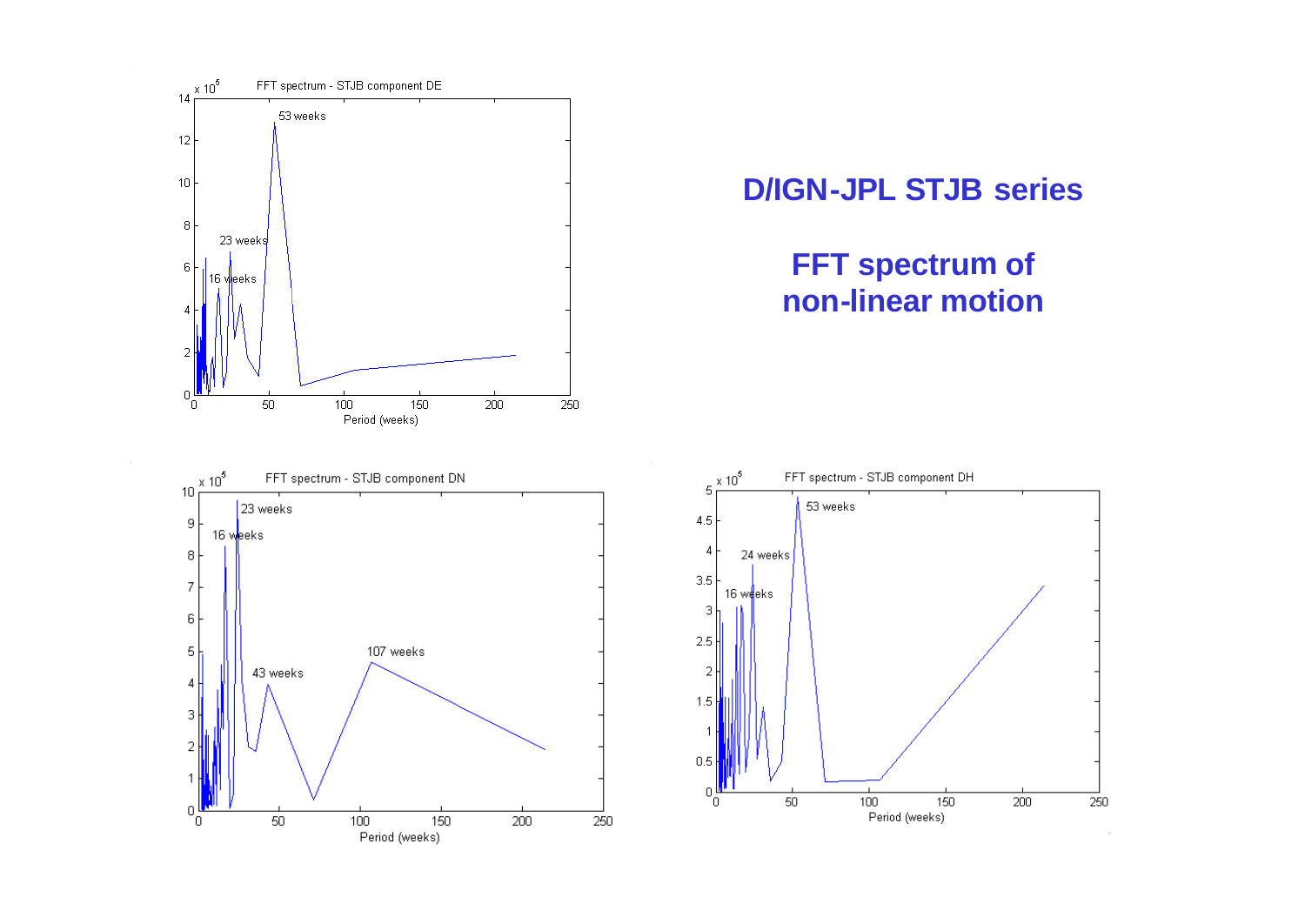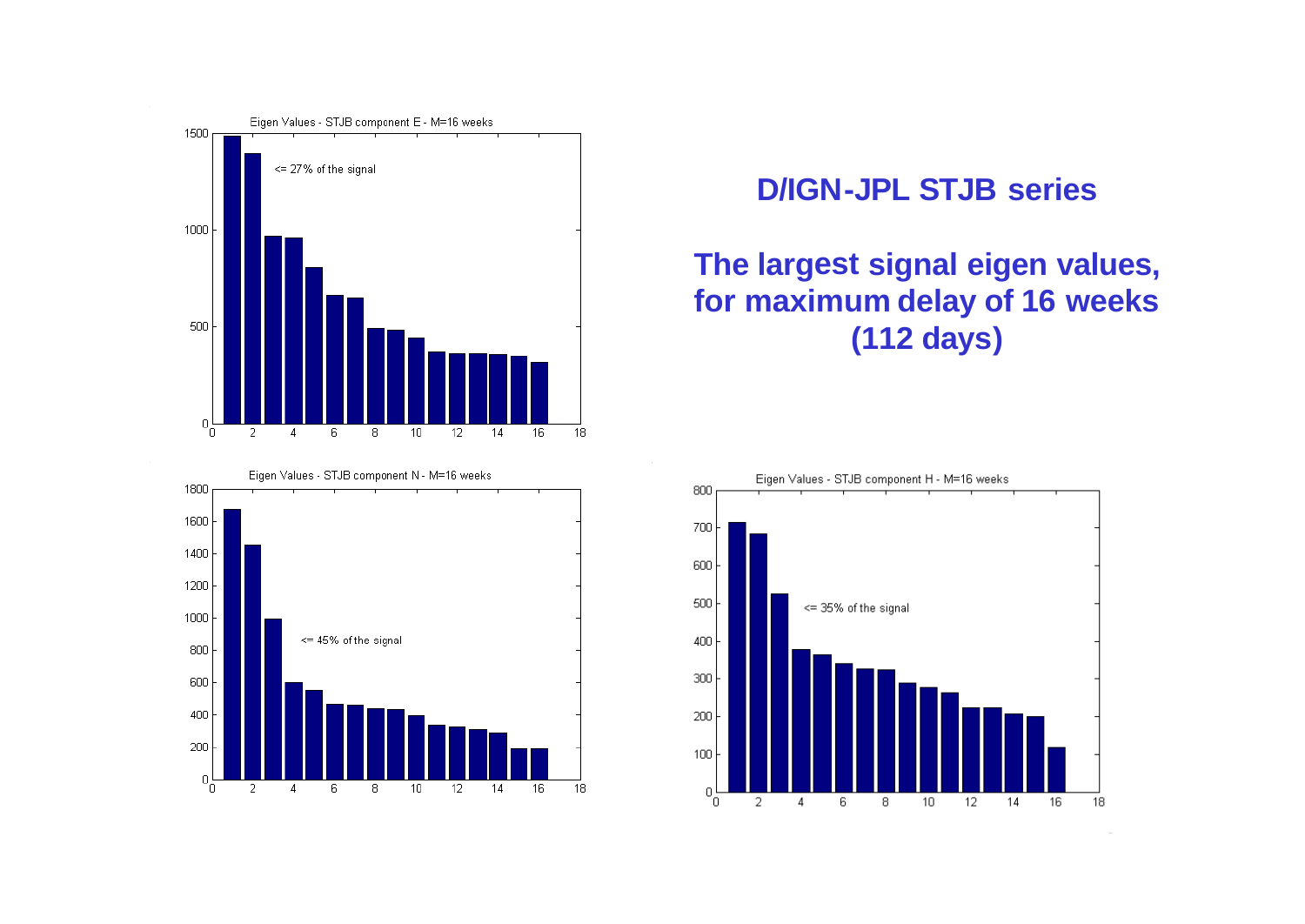



#### **D/IGN-JPL STJB series**

#### **The largest signal eigen values, for maximum delay of 16 weeks (112 days)**

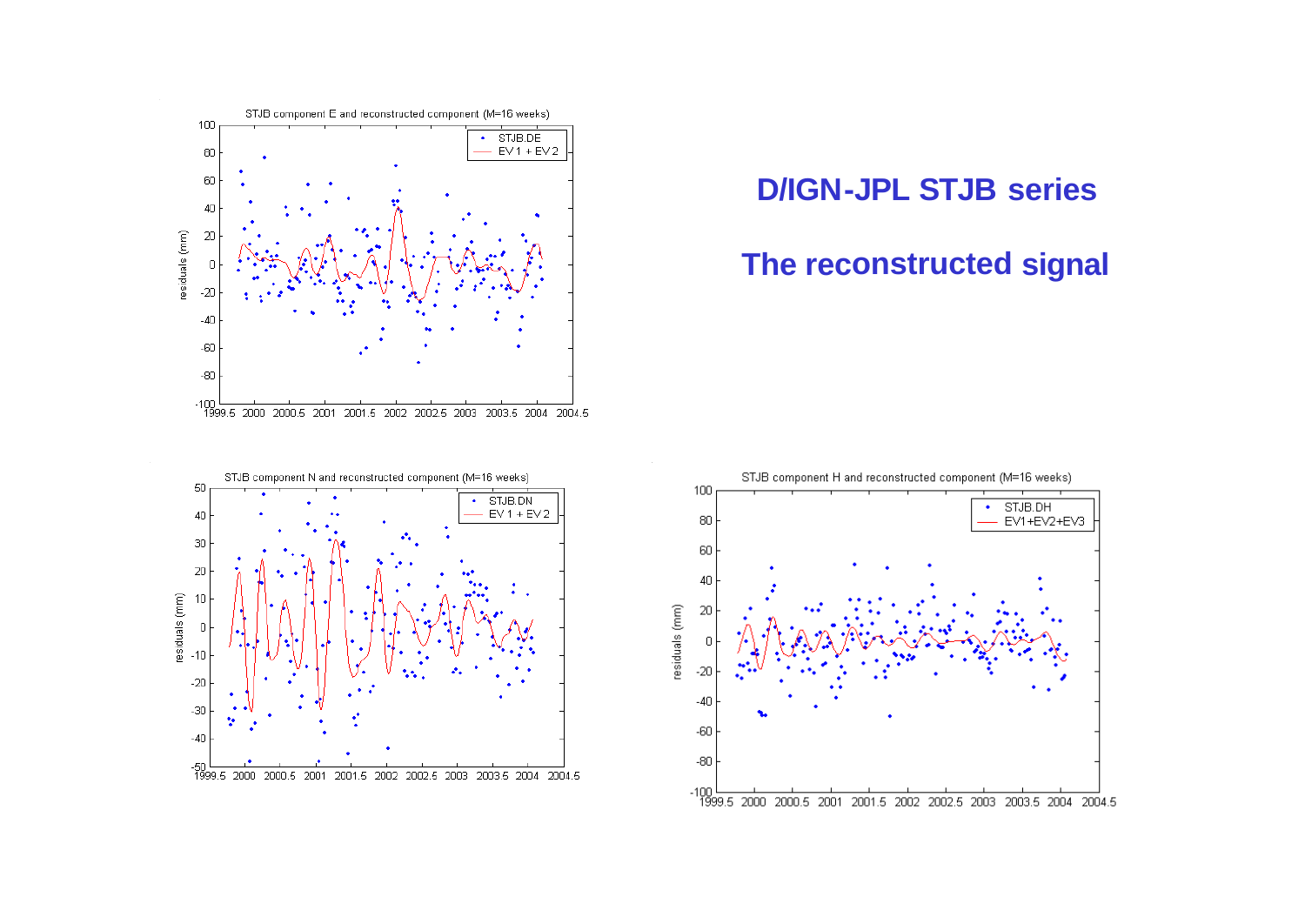

#### **D/IGN-JPL STJB series**

#### **The reconstructed signal**